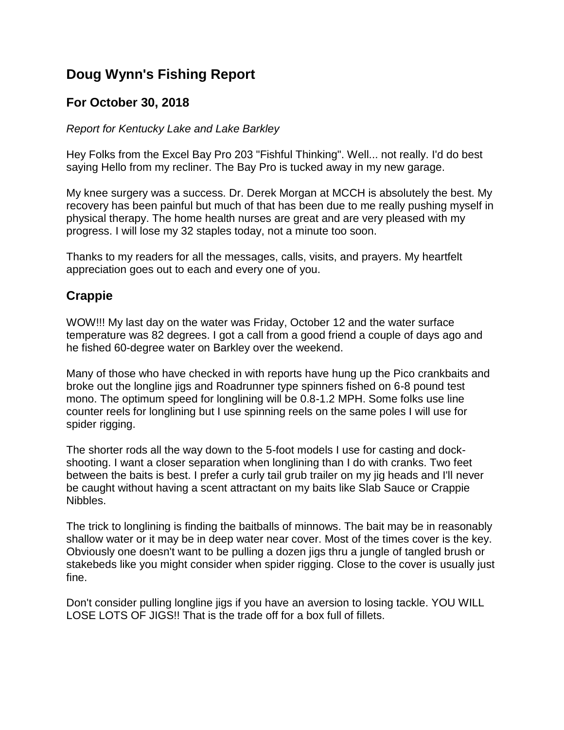## **Doug Wynn's Fishing Report**

## **For October 30, 2018**

## *Report for Kentucky Lake and Lake Barkley*

Hey Folks from the Excel Bay Pro 203 "Fishful Thinking". Well... not really. I'd do best saying Hello from my recliner. The Bay Pro is tucked away in my new garage.

My knee surgery was a success. Dr. Derek Morgan at MCCH is absolutely the best. My recovery has been painful but much of that has been due to me really pushing myself in physical therapy. The home health nurses are great and are very pleased with my progress. I will lose my 32 staples today, not a minute too soon.

Thanks to my readers for all the messages, calls, visits, and prayers. My heartfelt appreciation goes out to each and every one of you.

## **Crappie**

WOW!!! My last day on the water was Friday, October 12 and the water surface temperature was 82 degrees. I got a call from a good friend a couple of days ago and he fished 60-degree water on Barkley over the weekend.

Many of those who have checked in with reports have hung up the Pico crankbaits and broke out the longline jigs and Roadrunner type spinners fished on 6-8 pound test mono. The optimum speed for longlining will be 0.8-1.2 MPH. Some folks use line counter reels for longlining but I use spinning reels on the same poles I will use for spider rigging.

The shorter rods all the way down to the 5-foot models I use for casting and dockshooting. I want a closer separation when longlining than I do with cranks. Two feet between the baits is best. I prefer a curly tail grub trailer on my jig heads and I'll never be caught without having a scent attractant on my baits like Slab Sauce or Crappie Nibbles.

The trick to longlining is finding the baitballs of minnows. The bait may be in reasonably shallow water or it may be in deep water near cover. Most of the times cover is the key. Obviously one doesn't want to be pulling a dozen jigs thru a jungle of tangled brush or stakebeds like you might consider when spider rigging. Close to the cover is usually just fine.

Don't consider pulling longline jigs if you have an aversion to losing tackle. YOU WILL LOSE LOTS OF JIGS!! That is the trade off for a box full of fillets.